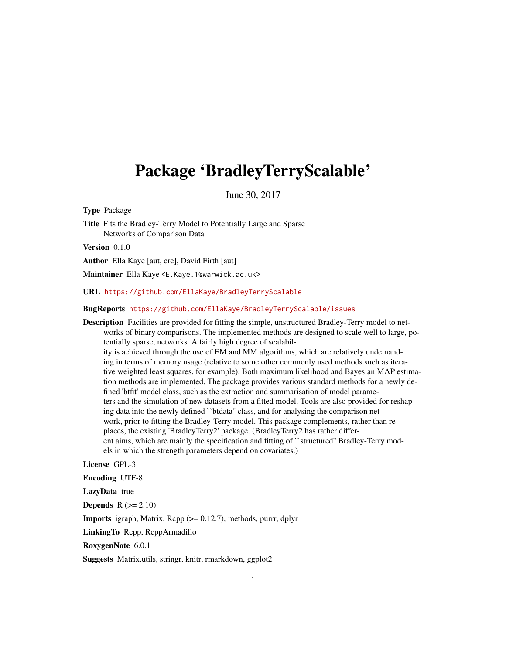## <span id="page-0-0"></span>Package 'BradleyTerryScalable'

June 30, 2017

Type Package

Title Fits the Bradley-Terry Model to Potentially Large and Sparse Networks of Comparison Data

Version 0.1.0

Author Ella Kaye [aut, cre], David Firth [aut]

Maintainer Ella Kaye <E.Kaye.1@warwick.ac.uk>

URL <https://github.com/EllaKaye/BradleyTerryScalable>

## BugReports <https://github.com/EllaKaye/BradleyTerryScalable/issues>

Description Facilities are provided for fitting the simple, unstructured Bradley-Terry model to networks of binary comparisons. The implemented methods are designed to scale well to large, potentially sparse, networks. A fairly high degree of scalability is achieved through the use of EM and MM algorithms, which are relatively undemanding in terms of memory usage (relative to some other commonly used methods such as iterative weighted least squares, for example). Both maximum likelihood and Bayesian MAP estimation methods are implemented. The package provides various standard methods for a newly defined 'btfit' model class, such as the extraction and summarisation of model parameters and the simulation of new datasets from a fitted model. Tools are also provided for reshaping data into the newly defined ``btdata'' class, and for analysing the comparison network, prior to fitting the Bradley-Terry model. This package complements, rather than replaces, the existing 'BradleyTerry2' package. (BradleyTerry2 has rather different aims, which are mainly the specification and fitting of ``structured'' Bradley-Terry models in which the strength parameters depend on covariates.)

License GPL-3

Encoding UTF-8

LazyData true

**Depends**  $R$  ( $>= 2.10$ )

**Imports** igraph, Matrix,  $\text{Rcpp}$  ( $>= 0.12.7$ ), methods, purrr, dplyr

LinkingTo Rcpp, RcppArmadillo

RoxygenNote 6.0.1

Suggests Matrix.utils, stringr, knitr, rmarkdown, ggplot2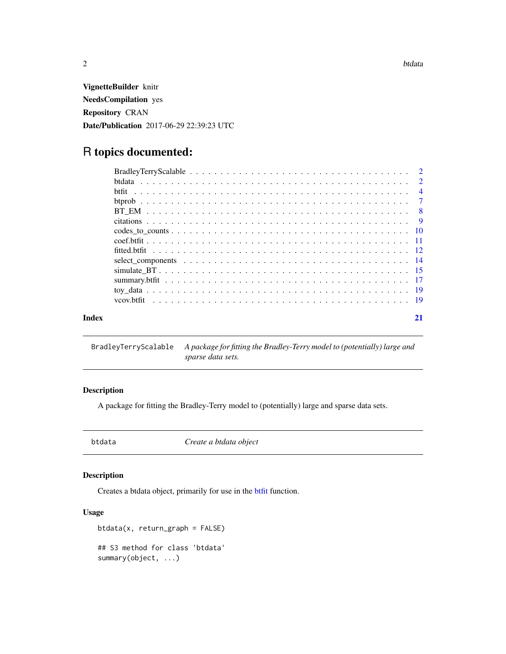<span id="page-1-0"></span> $2$  btdata

VignetteBuilder knitr NeedsCompilation yes Repository CRAN Date/Publication 2017-06-29 22:39:23 UTC

## R topics documented:

| yov.btfit |    |
|-----------|----|
| Index     | 21 |

BradleyTerryScalable *A package for fitting the Bradley-Terry model to (potentially) large and sparse data sets.*

## Description

A package for fitting the Bradley-Terry model to (potentially) large and sparse data sets.

<span id="page-1-1"></span>

btdata *Create a btdata object*

## Description

Creates a btdata object, primarily for use in the [btfit](#page-3-1) function.

## Usage

```
btdata(x, return_graph = FALSE)
## S3 method for class 'btdata'
summary(object, ...)
```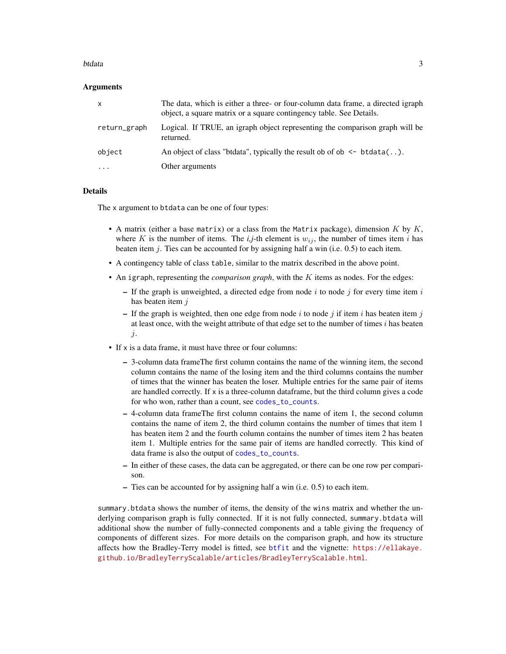#### <span id="page-2-0"></span>btdata 3

## Arguments

| $\mathsf{x}$ | The data, which is either a three- or four-column data frame, a directed igraph<br>object, a square matrix or a square contingency table. See Details. |
|--------------|--------------------------------------------------------------------------------------------------------------------------------------------------------|
| return_graph | Logical. If TRUE, an igraph object representing the comparison graph will be<br>returned.                                                              |
| object       | An object of class "btdata", typically the result ob of ob $\leq$ btdata().                                                                            |
| $\ddotsc$    | Other arguments                                                                                                                                        |

## Details

The x argument to btdata can be one of four types:

- A matrix (either a base matrix) or a class from the Matrix package), dimension  $K$  by  $K$ , where K is the number of items. The  $i, j$ -th element is  $w_{ij}$ , the number of times item i has beaten item  $j$ . Ties can be accounted for by assigning half a win (i.e.  $0.5$ ) to each item.
- A contingency table of class table, similar to the matrix described in the above point.
- An igraph, representing the *comparison graph*, with the K items as nodes. For the edges:
	- If the graph is unweighted, a directed edge from node i to node j for every time item i has beaten item *i*
	- If the graph is weighted, then one edge from node i to node j if item i has beaten item j at least once, with the weight attribute of that edge set to the number of times  $i$  has beaten j.
- If x is a data frame, it must have three or four columns:
	- 3-column data frameThe first column contains the name of the winning item, the second column contains the name of the losing item and the third columns contains the number of times that the winner has beaten the loser. Multiple entries for the same pair of items are handled correctly. If  $x$  is a three-column dataframe, but the third column gives a code for who won, rather than a count, see [codes\\_to\\_counts](#page-9-1).
	- 4-column data frameThe first column contains the name of item 1, the second column contains the name of item 2, the third column contains the number of times that item 1 has beaten item 2 and the fourth column contains the number of times item 2 has beaten item 1. Multiple entries for the same pair of items are handled correctly. This kind of data frame is also the output of [codes\\_to\\_counts](#page-9-1).
	- In either of these cases, the data can be aggregated, or there can be one row per comparison.
	- Ties can be accounted for by assigning half a win (i.e. 0.5) to each item.

summary.btdata shows the number of items, the density of the wins matrix and whether the underlying comparison graph is fully connected. If it is not fully connected, summary.btdata will additional show the number of fully-connected components and a table giving the frequency of components of different sizes. For more details on the comparison graph, and how its structure affects how the Bradley-Terry model is fitted, see [btfit](#page-3-1) and the vignette: [https://ellakaye.](https://ellakaye.github.io/BradleyTerryScalable/articles/BradleyTerryScalable.html) [github.io/BradleyTerryScalable/articles/BradleyTerryScalable.html](https://ellakaye.github.io/BradleyTerryScalable/articles/BradleyTerryScalable.html).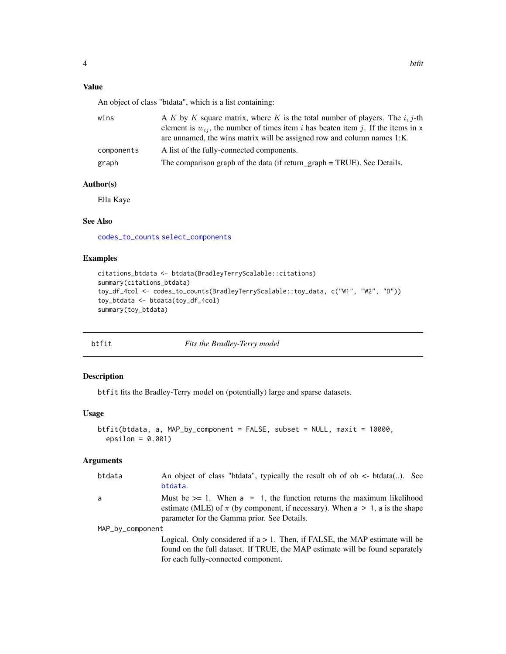## <span id="page-3-0"></span>Value

An object of class "btdata", which is a list containing:

| wins       | A K by K square matrix, where K is the total number of players. The i, j-th                                                                                      |
|------------|------------------------------------------------------------------------------------------------------------------------------------------------------------------|
|            | element is $w_{ij}$ , the number of times item i has beaten item j. If the items in x<br>are unnamed, the wins matrix will be assigned row and column names 1:K. |
| components | A list of the fully-connected components.                                                                                                                        |
| graph      | The comparison graph of the data (if return_graph = TRUE). See Details.                                                                                          |

## Author(s)

Ella Kaye

## See Also

[codes\\_to\\_counts](#page-9-1) [select\\_components](#page-13-1)

## Examples

```
citations_btdata <- btdata(BradleyTerryScalable::citations)
summary(citations_btdata)
toy_df_4col <- codes_to_counts(BradleyTerryScalable::toy_data, c("W1", "W2", "D"))
toy_btdata <- btdata(toy_df_4col)
summary(toy_btdata)
```
<span id="page-3-1"></span>

| btfit | Fits the Bradley-Terry model |
|-------|------------------------------|
|       |                              |

## Description

btfit fits the Bradley-Terry model on (potentially) large and sparse datasets.

## Usage

```
btfit(btdata, a, MAP_by_component = FALSE, subset = NULL, maxit = 10000,
 epsilon = 0.001)
```
## Arguments

| btdata           | An object of class "btdata", typically the result ob of ob $\lt$ - btdata(). See<br>btdata.                                                                                                                    |
|------------------|----------------------------------------------------------------------------------------------------------------------------------------------------------------------------------------------------------------|
| a                | Must be $>= 1$ . When $a = 1$ , the function returns the maximum likelihood<br>estimate (MLE) of $\pi$ (by component, if necessary). When a > 1, a is the shape<br>parameter for the Gamma prior. See Details. |
| MAP_by_component |                                                                                                                                                                                                                |
|                  | Logical. Only considered if $a > 1$ . Then, if FALSE, the MAP estimate will be<br>found on the full dataset. If TRUE, the MAP estimate will be found separately<br>for each fully-connected component.         |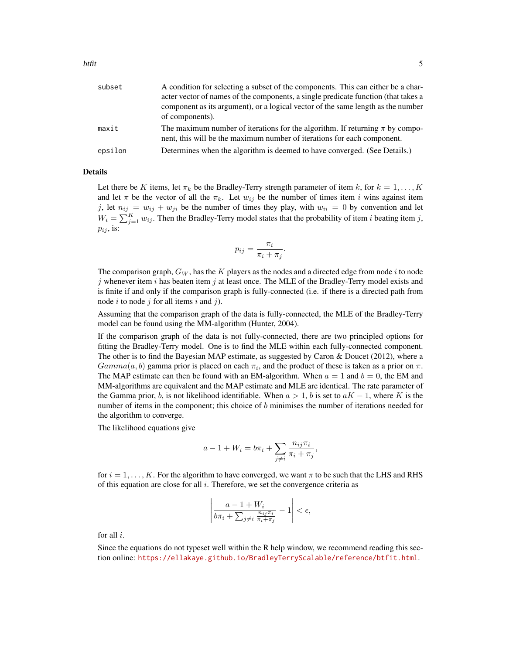| subset  | A condition for selecting a subset of the components. This can either be a char-<br>acter vector of names of the components, a single predicate function (that takes a<br>component as its argument), or a logical vector of the same length as the number<br>of components). |
|---------|-------------------------------------------------------------------------------------------------------------------------------------------------------------------------------------------------------------------------------------------------------------------------------|
| maxit   | The maximum number of iterations for the algorithm. If returning $\pi$ by compo-<br>nent, this will be the maximum number of iterations for each component.                                                                                                                   |
| epsilon | Determines when the algorithm is deemed to have converged. (See Details.)                                                                                                                                                                                                     |

#### Details

Let there be K items, let  $\pi_k$  be the Bradley-Terry strength parameter of item k, for  $k = 1, ..., K$ and let  $\pi$  be the vector of all the  $\pi_k$ . Let  $w_{ij}$  be the number of times item i wins against item j, let  $n_{ij} = w_{ij} + w_{ji}$  be the number of times they play, with  $w_{ii} = 0$  by convention and let  $W_i = \sum_{j=1}^{K} w_{ij}$ . Then the Bradley-Terry model states that the probability of item *i* beating item *j*,  $p_{ij}$ , is:

$$
p_{ij} = \frac{\pi_i}{\pi_i + \pi_j}.
$$

The comparison graph,  $G_W$ , has the K players as the nodes and a directed edge from node i to node j whenever item i has beaten item j at least once. The MLE of the Bradley-Terry model exists and is finite if and only if the comparison graph is fully-connected (i.e. if there is a directed path from node i to node j for all items i and j).

Assuming that the comparison graph of the data is fully-connected, the MLE of the Bradley-Terry model can be found using the MM-algorithm (Hunter, 2004).

If the comparison graph of the data is not fully-connected, there are two principled options for fitting the Bradley-Terry model. One is to find the MLE within each fully-connected component. The other is to find the Bayesian MAP estimate, as suggested by Caron  $\&$  Doucet (2012), where a  $Gamma(a, b)$  gamma prior is placed on each  $\pi_i$ , and the product of these is taken as a prior on  $\pi$ . The MAP estimate can then be found with an EM-algorithm. When  $a = 1$  and  $b = 0$ , the EM and MM-algorithms are equivalent and the MAP estimate and MLE are identical. The rate parameter of the Gamma prior, b, is not likelihood identifiable. When  $a > 1$ , b is set to  $aK - 1$ , where K is the number of items in the component; this choice of  $b$  minimises the number of iterations needed for the algorithm to converge.

The likelihood equations give

$$
a - 1 + W_i = b\pi_i + \sum_{j \neq i} \frac{n_{ij}\pi_i}{\pi_i + \pi_j},
$$

for  $i = 1, \ldots, K$ . For the algorithm to have converged, we want  $\pi$  to be such that the LHS and RHS of this equation are close for all  $i$ . Therefore, we set the convergence criteria as

$$
\left| \frac{a - 1 + W_i}{b\pi_i + \sum_{j \neq i} \frac{n_{ij}\pi_i}{\pi_i + \pi_j}} - 1 \right| < \epsilon,
$$

for all i.

Since the equations do not typeset well within the R help window, we recommend reading this section online: <https://ellakaye.github.io/BradleyTerryScalable/reference/btfit.html>.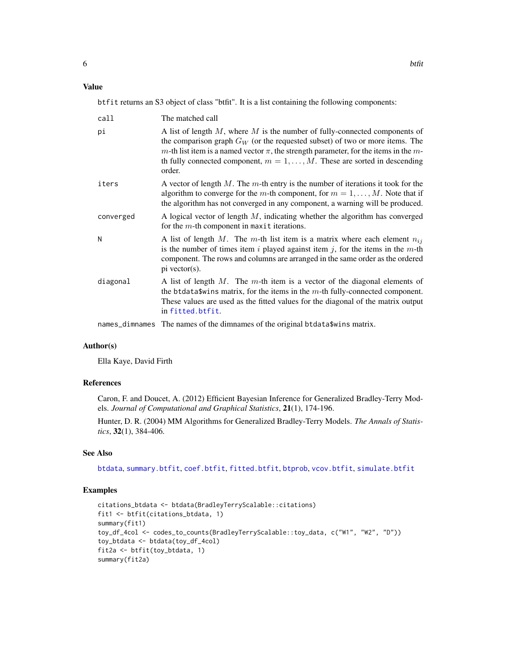## <span id="page-5-0"></span>Value

btfit returns an S3 object of class "btfit". It is a list containing the following components:

| call      | The matched call                                                                                                                                                                                                                                                                                                                                             |
|-----------|--------------------------------------------------------------------------------------------------------------------------------------------------------------------------------------------------------------------------------------------------------------------------------------------------------------------------------------------------------------|
| рi        | A list of length $M$ , where $M$ is the number of fully-connected components of<br>the comparison graph $G_W$ (or the requested subset) of two or more items. The<br>m-th list item is a named vector $\pi$ , the strength parameter, for the items in the m-<br>th fully connected component, $m = 1, \ldots, M$ . These are sorted in descending<br>order. |
| iters     | A vector of length $M$ . The $m$ -th entry is the number of iterations it took for the<br>algorithm to converge for the m-th component, for $m = 1, \dots, M$ . Note that if<br>the algorithm has not converged in any component, a warning will be produced.                                                                                                |
| converged | A logical vector of length $M$ , indicating whether the algorithm has converged<br>for the $m$ -th component in maxit iterations.                                                                                                                                                                                                                            |
| N         | A list of length M. The m-th list item is a matrix where each element $n_{ij}$<br>is the number of times item $i$ played against item $j$ , for the items in the $m$ -th<br>component. The rows and columns are arranged in the same order as the ordered<br>$pi$ vector(s).                                                                                 |
| diagonal  | A list of length $M$ . The $m$ -th item is a vector of the diagonal elements of<br>the btdata\$wins matrix, for the items in the $m$ -th fully-connected component.<br>These values are used as the fitted values for the diagonal of the matrix output<br>in fitted.btfit.                                                                                  |
|           |                                                                                                                                                                                                                                                                                                                                                              |

names\_dimnames The names of the dimnames of the original btdata\$wins matrix.

## Author(s)

Ella Kaye, David Firth

#### References

Caron, F. and Doucet, A. (2012) Efficient Bayesian Inference for Generalized Bradley-Terry Models. *Journal of Computational and Graphical Statistics*, 21(1), 174-196.

Hunter, D. R. (2004) MM Algorithms for Generalized Bradley-Terry Models. *The Annals of Statistics*, 32(1), 384-406.

## See Also

[btdata](#page-1-1), [summary.btfit](#page-16-1), [coef.btfit](#page-10-1), [fitted.btfit](#page-11-1), [btprob](#page-6-1), [vcov.btfit](#page-18-1), [simulate.btfit](#page-14-1)

## Examples

```
citations_btdata <- btdata(BradleyTerryScalable::citations)
fit1 <- btfit(citations_btdata, 1)
summary(fit1)
toy_df_4col <- codes_to_counts(BradleyTerryScalable::toy_data, c("W1", "W2", "D"))
toy_btdata <- btdata(toy_df_4col)
fit2a <- btfit(toy_btdata, 1)
summary(fit2a)
```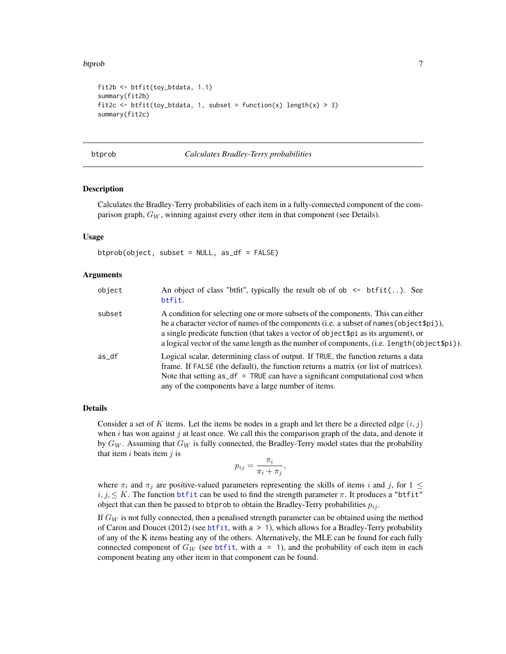#### <span id="page-6-0"></span>btprob 2008 and 2008 and 2008 and 2008 and 2008 and 2008 and 2008 and 2008 and 2008 and 2008 and 2008 and 2008

```
fit2b <- btfit(toy_btdata, 1.1)
summary(fit2b)
fit2c <- btfit(toy_btdata, 1, subset = function(x) length(x) > 3)
summary(fit2c)
```
btprob *Calculates Bradley-Terry probabilities*

## Description

Calculates the Bradley-Terry probabilities of each item in a fully-connected component of the comparison graph,  $G_W$ , winning against every other item in that component (see Details).

## Usage

btprob(object, subset = NULL, as\_df = FALSE)

## Arguments

| object | An object of class "btfit", typically the result ob of ob $\leq$ btfit(). See<br>btfit.                                                                                                                                                                                                                                                                               |
|--------|-----------------------------------------------------------------------------------------------------------------------------------------------------------------------------------------------------------------------------------------------------------------------------------------------------------------------------------------------------------------------|
| subset | A condition for selecting one or more subsets of the components. This can either<br>be a character vector of names of the components (i.e. a subset of names (object \$pi)),<br>a single predicate function (that takes a vector of object \$pi as its argument), or<br>a logical vector of the same length as the number of components, (i.e. length (object \$pi)). |
| as_df  | Logical scalar, determining class of output. If TRUE, the function returns a data<br>frame. If FALSE (the default), the function returns a matrix (or list of matrices).<br>Note that setting $as_d f = \text{TRUE}$ can have a significant computational cost when<br>any of the components have a large number of items.                                            |

## Details

Consider a set of K items. Let the items be nodes in a graph and let there be a directed edge  $(i, j)$ when  $i$  has won against  $j$  at least once. We call this the comparison graph of the data, and denote it by  $G_W$ . Assuming that  $G_W$  is fully connected, the Bradley-Terry model states that the probability that item  $i$  beats item  $j$  is

$$
p_{ij} = \frac{\pi_i}{\pi_i + \pi_j},
$$

where  $\pi_i$  and  $\pi_j$  are positive-valued parameters representing the skills of items i and j, for  $1 \leq$  $i, j, \leq K$ . The function [btfit](#page-3-1) can be used to find the strength parameter  $\pi$ . It produces a "btfit" object that can then be passed to btprob to obtain the Bradley-Terry probabilities  $p_{ij}$ .

If  $G_W$  is not fully connected, then a penalised strength parameter can be obtained using the method of Caron and Doucet (2012) (see [btfit](#page-3-1), with  $a > 1$ ), which allows for a Bradley-Terry probability of any of the K items beating any of the others. Alternatively, the MLE can be found for each fully connected component of  $G_W$  (see [btfit](#page-3-1), with a = 1), and the probability of each item in each component beating any other item in that component can be found.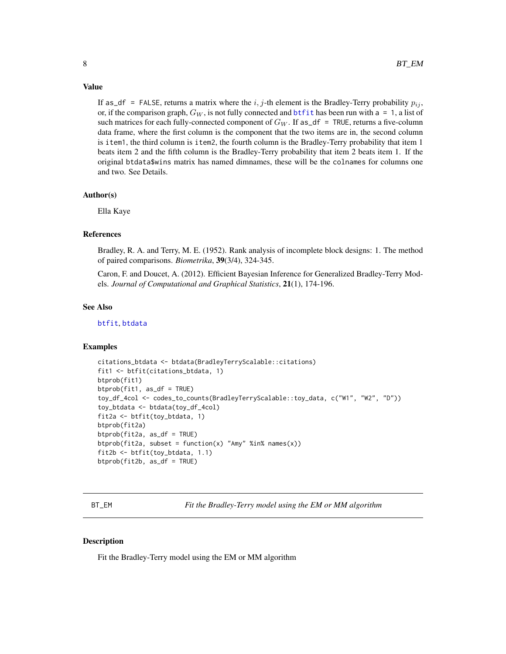#### <span id="page-7-0"></span>Value

If as  $df =$  FALSE, returns a matrix where the i, j-th element is the Bradley-Terry probability  $p_{ij}$ , or, if the comparison graph,  $G_W$ , is not fully connected and bt fit has been run with a = 1, a list of such matrices for each fully-connected component of  $G_W$ . If as\_df = TRUE, returns a five-column data frame, where the first column is the component that the two items are in, the second column is item1, the third column is item2, the fourth column is the Bradley-Terry probability that item 1 beats item 2 and the fifth column is the Bradley-Terry probability that item 2 beats item 1. If the original btdata\$wins matrix has named dimnames, these will be the colnames for columns one and two. See Details.

## Author(s)

Ella Kaye

### References

Bradley, R. A. and Terry, M. E. (1952). Rank analysis of incomplete block designs: 1. The method of paired comparisons. *Biometrika*, 39(3/4), 324-345.

Caron, F. and Doucet, A. (2012). Efficient Bayesian Inference for Generalized Bradley-Terry Models. *Journal of Computational and Graphical Statistics*, 21(1), 174-196.

#### See Also

[btfit](#page-3-1), [btdata](#page-1-1)

## Examples

```
citations_btdata <- btdata(BradleyTerryScalable::citations)
fit1 <- btfit(citations_btdata, 1)
btprob(fit1)
btprob(fit1, as_df = TRUE)
toy_df_4col <- codes_to_counts(BradleyTerryScalable::toy_data, c("W1", "W2", "D"))
toy_btdata <- btdata(toy_df_4col)
fit2a <- btfit(toy_btdata, 1)
btprob(fit2a)
btprob(fit2a, as_df = TRUE)
btprob(fit2a, subset = function(x) "Amy" %in% names(x))
fit2b <- btfit(toy_btdata, 1.1)
btprob(fit2b, as_df = TRUE)
```
BT\_EM *Fit the Bradley-Terry model using the EM or MM algorithm*

## Description

Fit the Bradley-Terry model using the EM or MM algorithm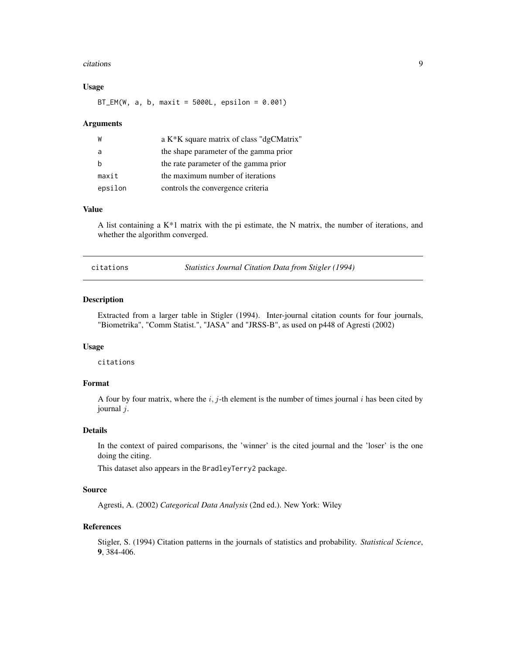#### <span id="page-8-0"></span>citations **9**

## Usage

 $BT\_EM(W, a, b, maxit = 5000L, epsilon = 0.001)$ 

#### Arguments

| W       | a K <sup>*</sup> K square matrix of class "dgCMatrix" |
|---------|-------------------------------------------------------|
| a       | the shape parameter of the gamma prior                |
|         | the rate parameter of the gamma prior                 |
| maxit   | the maximum number of iterations                      |
| epsilon | controls the convergence criteria                     |

## Value

A list containing a  $K^*1$  matrix with the pi estimate, the N matrix, the number of iterations, and whether the algorithm converged.

citations *Statistics Journal Citation Data from Stigler (1994)*

## Description

Extracted from a larger table in Stigler (1994). Inter-journal citation counts for four journals, "Biometrika", "Comm Statist.", "JASA" and "JRSS-B", as used on p448 of Agresti (2002)

#### Usage

citations

## Format

A four by four matrix, where the  $i$ , j-th element is the number of times journal  $i$  has been cited by journal j.

#### Details

In the context of paired comparisons, the 'winner' is the cited journal and the 'loser' is the one doing the citing.

This dataset also appears in the BradleyTerry2 package.

#### Source

Agresti, A. (2002) *Categorical Data Analysis* (2nd ed.). New York: Wiley

## References

Stigler, S. (1994) Citation patterns in the journals of statistics and probability. *Statistical Science*, 9, 384-406.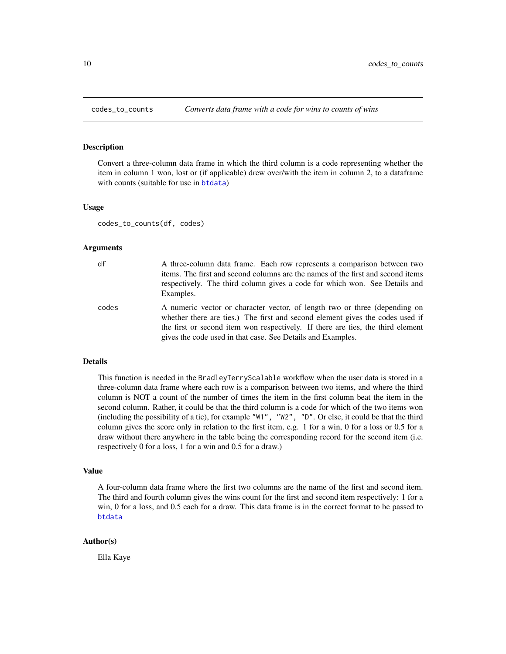<span id="page-9-1"></span><span id="page-9-0"></span>

#### Description

Convert a three-column data frame in which the third column is a code representing whether the item in column 1 won, lost or (if applicable) drew over/with the item in column 2, to a dataframe with counts (suitable for use in [btdata](#page-1-1))

#### Usage

codes\_to\_counts(df, codes)

#### Arguments

## df A three-column data frame. Each row represents a comparison between two items. The first and second columns are the names of the first and second items respectively. The third column gives a code for which won. See Details and Examples. codes A numeric vector or character vector, of length two or three (depending on

whether there are ties.) The first and second element gives the codes used if the first or second item won respectively. If there are ties, the third element gives the code used in that case. See Details and Examples.

#### Details

This function is needed in the BradleyTerryScalable workflow when the user data is stored in a three-column data frame where each row is a comparison between two items, and where the third column is NOT a count of the number of times the item in the first column beat the item in the second column. Rather, it could be that the third column is a code for which of the two items won (including the possibility of a tie), for example "W1", "W2", "D". Or else, it could be that the third column gives the score only in relation to the first item, e.g. 1 for a win, 0 for a loss or 0.5 for a draw without there anywhere in the table being the corresponding record for the second item (i.e. respectively 0 for a loss, 1 for a win and 0.5 for a draw.)

#### Value

A four-column data frame where the first two columns are the name of the first and second item. The third and fourth column gives the wins count for the first and second item respectively: 1 for a win, 0 for a loss, and 0.5 each for a draw. This data frame is in the correct format to be passed to [btdata](#page-1-1)

### Author(s)

Ella Kaye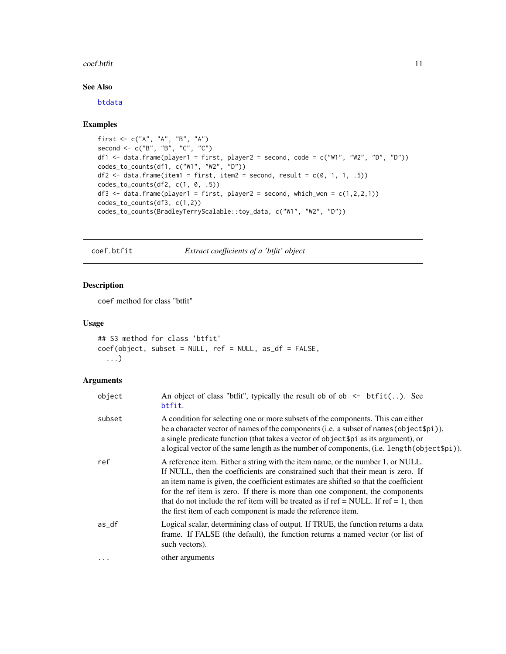#### <span id="page-10-0"></span>coef.btfit 11

## See Also

[btdata](#page-1-1)

## Examples

```
first <- c("A", "A", "B", "A")
second <- c("B", "B", "C", "C")
df1 <- data.frame(player1 = first, player2 = second, code = c("W1", "W2", "D", "D"))
codes_to_counts(df1, c("W1", "W2", "D"))
df2 \leftarrow data.frame(item1 = first, item2 = second, result = c(0, 1, 1, .5))
codes_to_counts(df2, c(1, 0, .5))df3 <- data.frame(player1 = first, player2 = second, which_won = c(1,2,2,1))
codes_to_counts(df3, c(1,2))
codes_to_counts(BradleyTerryScalable::toy_data, c("W1", "W2", "D"))
```
<span id="page-10-1"></span>coef.btfit *Extract coefficients of a 'btfit' object*

## Description

coef method for class "btfit"

## Usage

```
## S3 method for class 'btfit'
coef(object, subset = NULL, ref = NULL, as_df = FALSE,
  ...)
```
## Arguments

| object   | An object of class "btfit", typically the result ob of ob $\le$ btfit(). See<br>btfit.                                                                                                                                                                                                                                                                                                                                                                                                             |
|----------|----------------------------------------------------------------------------------------------------------------------------------------------------------------------------------------------------------------------------------------------------------------------------------------------------------------------------------------------------------------------------------------------------------------------------------------------------------------------------------------------------|
| subset   | A condition for selecting one or more subsets of the components. This can either<br>be a character vector of names of the components (i.e. a subset of names (object \$pi)),<br>a single predicate function (that takes a vector of object \$pi as its argument), or<br>a logical vector of the same length as the number of components, (i.e. length (object \$pi)).                                                                                                                              |
| ref      | A reference item. Either a string with the item name, or the number 1, or NULL.<br>If NULL, then the coefficients are constrained such that their mean is zero. If<br>an item name is given, the coefficient estimates are shifted so that the coefficient<br>for the ref item is zero. If there is more than one component, the components<br>that do not include the ref item will be treated as if ref = NULL. If ref = 1, then<br>the first item of each component is made the reference item. |
| $as_d$   | Logical scalar, determining class of output. If TRUE, the function returns a data<br>frame. If FALSE (the default), the function returns a named vector (or list of<br>such vectors).                                                                                                                                                                                                                                                                                                              |
| $\cdots$ | other arguments                                                                                                                                                                                                                                                                                                                                                                                                                                                                                    |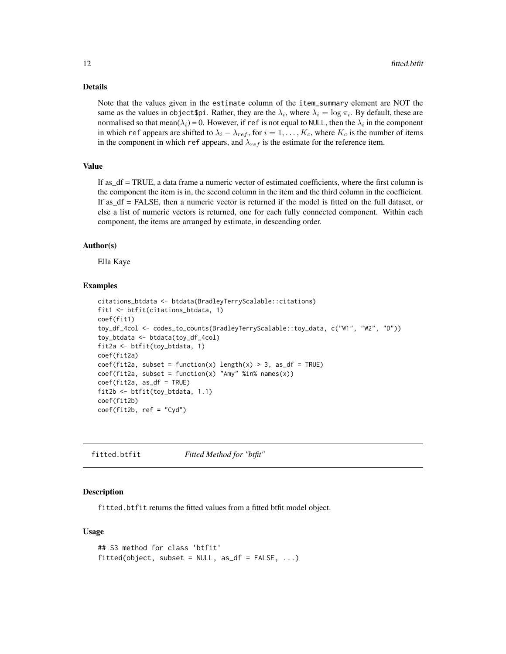#### <span id="page-11-0"></span>Details

Note that the values given in the estimate column of the item\_summary element are NOT the same as the values in object\$pi. Rather, they are the  $\lambda_i$ , where  $\lambda_i = \log \pi_i$ . By default, these are normalised so that mean( $\lambda_i$ ) = 0. However, if ref is not equal to NULL, then the  $\lambda_i$  in the component in which ref appears are shifted to  $\lambda_i - \lambda_{ref}$ , for  $i = 1, \dots, K_c$ , where  $K_c$  is the number of items in the component in which ref appears, and  $\lambda_{ref}$  is the estimate for the reference item.

## Value

If as\_df = TRUE, a data frame a numeric vector of estimated coefficients, where the first column is the component the item is in, the second column in the item and the third column in the coefficient. If as\_df = FALSE, then a numeric vector is returned if the model is fitted on the full dataset, or else a list of numeric vectors is returned, one for each fully connected component. Within each component, the items are arranged by estimate, in descending order.

#### Author(s)

Ella Kaye

#### Examples

```
citations_btdata <- btdata(BradleyTerryScalable::citations)
fit1 <- btfit(citations_btdata, 1)
coef(fit1)
toy_df_4col <- codes_to_counts(BradleyTerryScalable::toy_data, c("W1", "W2", "D"))
toy_btdata <- btdata(toy_df_4col)
fit2a <- btfit(toy_btdata, 1)
coef(fit2a)
coef(fit2a, subset = function(x) length(x) > 3, as_df = TRUE)coef(fit2a, subset = function(x) "Amy" % in% names(x))coef(fit2a, as_df = TRUE)
fit2b <- btfit(toy_btdata, 1.1)
coef(fit2b)
coef(fit2b, ref = "Cyd")
```
<span id="page-11-1"></span>fitted.btfit *Fitted Method for "btfit"*

## Description

fitted.btfit returns the fitted values from a fitted btfit model object.

## Usage

```
## S3 method for class 'btfit'
fitted(object, subset = NULL, as_df = FALSE, ...)
```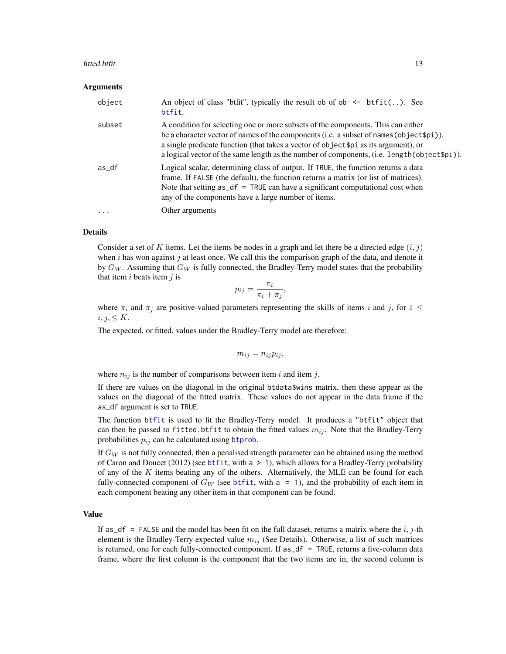#### <span id="page-12-0"></span>fitted.btfit 13

#### Arguments

| object    | An object of class "btfit", typically the result ob of ob $\leq$ btfit(). See<br>btfit.                                                                                                                                                                                                                                                                              |
|-----------|----------------------------------------------------------------------------------------------------------------------------------------------------------------------------------------------------------------------------------------------------------------------------------------------------------------------------------------------------------------------|
| subset    | A condition for selecting one or more subsets of the components. This can either<br>be a character vector of names of the components (i.e. a subset of names (object \$pi)),<br>a single predicate function (that takes a vector of object\$pi as its argument), or<br>a logical vector of the same length as the number of components, (i.e. length (object \$pi)). |
| as_df     | Logical scalar, determining class of output. If TRUE, the function returns a data<br>frame. If FALSE (the default), the function returns a matrix (or list of matrices).<br>Note that setting $as_d f = \text{TRUE}$ can have a significant computational cost when<br>any of the components have a large number of items.                                           |
| $\ddotsc$ | Other arguments                                                                                                                                                                                                                                                                                                                                                      |

## Details

Consider a set of K items. Let the items be nodes in a graph and let there be a directed edge  $(i, j)$ when  $i$  has won against  $j$  at least once. We call this the comparison graph of the data, and denote it by  $G_W$ . Assuming that  $G_W$  is fully connected, the Bradley-Terry model states that the probability that item  $i$  beats item  $j$  is

$$
p_{ij} = \frac{\pi_i}{\pi_i + \pi_j},
$$

where  $\pi_i$  and  $\pi_j$  are positive-valued parameters representing the skills of items i and j, for  $1 \leq$  $i, j, \leq K$ .

The expected, or fitted, values under the Bradley-Terry model are therefore:

$$
m_{ij} = n_{ij} p_{ij},
$$

where  $n_{ij}$  is the number of comparisons between item i and item j.

If there are values on the diagonal in the original btdata\$wins matrix, then these appear as the values on the diagonal of the fitted matrix. These values do not appear in the data frame if the as\_df argument is set to TRUE.

The function [btfit](#page-3-1) is used to fit the Bradley-Terry model. It produces a "btfit" object that can then be passed to fitted.btfit to obtain the fitted values  $m_{ij}$ . Note that the Bradley-Terry probabilities  $p_{ij}$  can be calculated using [btprob](#page-6-1).

If  $G_W$  is not fully connected, then a penalised strength parameter can be obtained using the method of Caron and Doucet (2012) (see [btfit](#page-3-1), with a > 1), which allows for a Bradley-Terry probability of any of the  $K$  items beating any of the others. Alternatively, the MLE can be found for each fully-connected component of  $G_W$  (see [btfit](#page-3-1), with a = 1), and the probability of each item in each component beating any other item in that component can be found.

#### Value

If as  $df = FALSE$  and the model has been fit on the full dataset, returns a matrix where the i, j-th element is the Bradley-Terry expected value  $m_{ij}$  (See Details). Otherwise, a list of such matrices is returned, one for each fully-connected component. If as\_df = TRUE, returns a five-column data frame, where the first column is the component that the two items are in, the second column is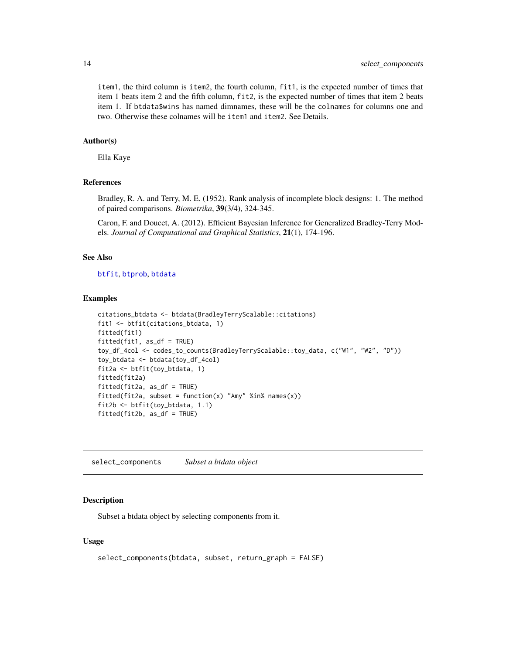<span id="page-13-0"></span>item1, the third column is item2, the fourth column, fit1, is the expected number of times that item 1 beats item 2 and the fifth column, fit2, is the expected number of times that item 2 beats item 1. If btdata\$wins has named dimnames, these will be the colnames for columns one and two. Otherwise these colnames will be item1 and item2. See Details.

## Author(s)

Ella Kaye

## References

Bradley, R. A. and Terry, M. E. (1952). Rank analysis of incomplete block designs: 1. The method of paired comparisons. *Biometrika*, 39(3/4), 324-345.

Caron, F. and Doucet, A. (2012). Efficient Bayesian Inference for Generalized Bradley-Terry Models. *Journal of Computational and Graphical Statistics*, 21(1), 174-196.

## See Also

[btfit](#page-3-1), [btprob](#page-6-1), [btdata](#page-1-1)

#### Examples

```
citations_btdata <- btdata(BradleyTerryScalable::citations)
fit1 <- btfit(citations_btdata, 1)
fitted(fit1)
fitted(fit1, as_df = TRUE)
toy_df_4col <- codes_to_counts(BradleyTerryScalable::toy_data, c("W1", "W2", "D"))
toy_btdata <- btdata(toy_df_4col)
fit2a <- btfit(toy_btdata, 1)
fitted(fit2a)
fitted(fit2a, as_df = TRUE)
fitted(fit2a, subset = function(x) "Amy" %in% names(x))
fit2b <- btfit(toy_btdata, 1.1)
fitted(fit2b, as_df = TRUE)
```
<span id="page-13-1"></span>select\_components *Subset a btdata object*

#### **Description**

Subset a btdata object by selecting components from it.

### Usage

```
select_components(btdata, subset, return_graph = FALSE)
```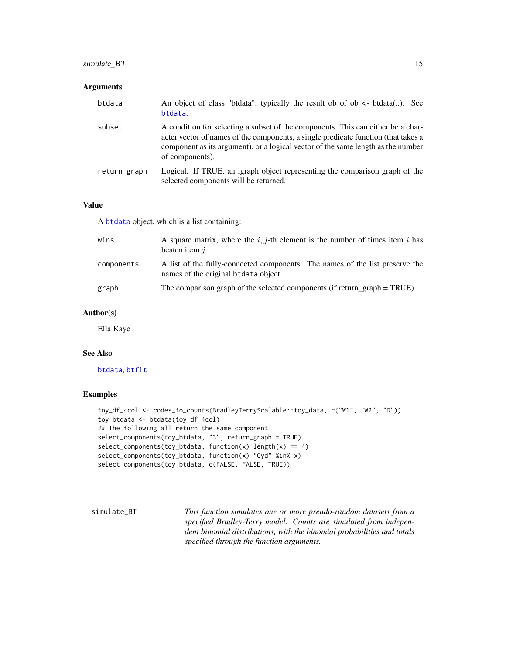## <span id="page-14-0"></span>simulate\_BT 15

## Arguments

| btdata       | An object of class "btdata", typically the result ob of ob $\lt$ - btdata(). See<br>btdata.                                                                                                                                                                                   |
|--------------|-------------------------------------------------------------------------------------------------------------------------------------------------------------------------------------------------------------------------------------------------------------------------------|
| subset       | A condition for selecting a subset of the components. This can either be a char-<br>acter vector of names of the components, a single predicate function (that takes a<br>component as its argument), or a logical vector of the same length as the number<br>of components). |
| return_graph | Logical. If TRUE, an igraph object representing the comparison graph of the<br>selected components will be returned.                                                                                                                                                          |

## Value

A [btdata](#page-1-1) object, which is a list containing:

| wins       | A square matrix, where the i, j-th element is the number of times item i has<br>beaten item $i$ .                    |
|------------|----------------------------------------------------------------------------------------------------------------------|
| components | A list of the fully-connected components. The names of the list preserve the<br>names of the original btdata object. |
| graph      | The comparison graph of the selected components (if return graph $=$ TRUE).                                          |

## Author(s)

Ella Kaye

## See Also

[btdata](#page-1-1), [btfit](#page-3-1)

## Examples

```
toy_df_4col <- codes_to_counts(BradleyTerryScalable::toy_data, c("W1", "W2", "D"))
toy_btdata <- btdata(toy_df_4col)
## The following all return the same component
select_components(toy_btdata, "3", return_graph = TRUE)
select_components(toy_btdata, function(x) length(x) == 4)
select_components(toy_btdata, function(x) "Cyd" %in% x)
select_components(toy_btdata, c(FALSE, FALSE, TRUE))
```
<span id="page-14-1"></span>

| simulate BT | This function simulates one or more pseudo-random datasets from a       |
|-------------|-------------------------------------------------------------------------|
|             | specified Bradley-Terry model. Counts are simulated from indepen-       |
|             | dent binomial distributions, with the binomial probabilities and totals |
|             | specified through the function arguments.                               |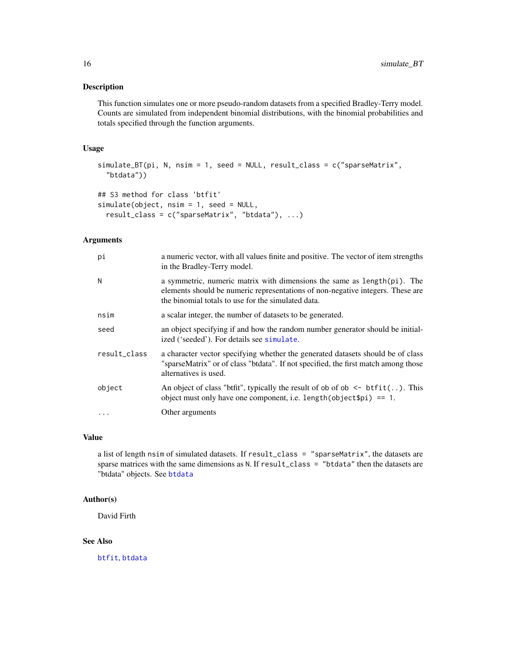## <span id="page-15-0"></span>Description

This function simulates one or more pseudo-random datasets from a specified Bradley-Terry model. Counts are simulated from independent binomial distributions, with the binomial probabilities and totals specified through the function arguments.

## Usage

```
simulate_BT(pi, N, nsim = 1, seed = NULL, result_class = c("sparseMatrix",
  "btdata"))
## S3 method for class 'btfit'
simulate(object, nsim = 1, seed = NULL,
 result_class = c("sparseMatrix", "btdata"), ...)
```
## Arguments

| рi           | a numeric vector, with all values finite and positive. The vector of item strengths<br>in the Bradley-Terry model.                                                                                              |
|--------------|-----------------------------------------------------------------------------------------------------------------------------------------------------------------------------------------------------------------|
| N            | a symmetric, numeric matrix with dimensions the same as length(pi). The<br>elements should be numeric representations of non-negative integers. These are<br>the binomial totals to use for the simulated data. |
| nsim         | a scalar integer, the number of datasets to be generated.                                                                                                                                                       |
| seed         | an object specifying if and how the random number generator should be initial-<br>ized ('seeded'). For details see simulate.                                                                                    |
| result_class | a character vector specifying whether the generated datasets should be of class<br>"sparseMatrix" or of class "btdata". If not specified, the first match among those<br>alternatives is used.                  |
| object       | An object of class "btfit", typically the result of ob of ob $\leq$ btfit(). This<br>object must only have one component, i.e. length (object $\pi$ ) == 1.                                                     |
|              | Other arguments                                                                                                                                                                                                 |

## Value

a list of length nsim of simulated datasets. If result\_class = "sparseMatrix", the datasets are sparse matrices with the same dimensions as N. If result\_class = "btdata" then the datasets are "btdata" objects. See [btdata](#page-1-1)

## Author(s)

David Firth

## See Also

[btfit](#page-3-1), [btdata](#page-1-1)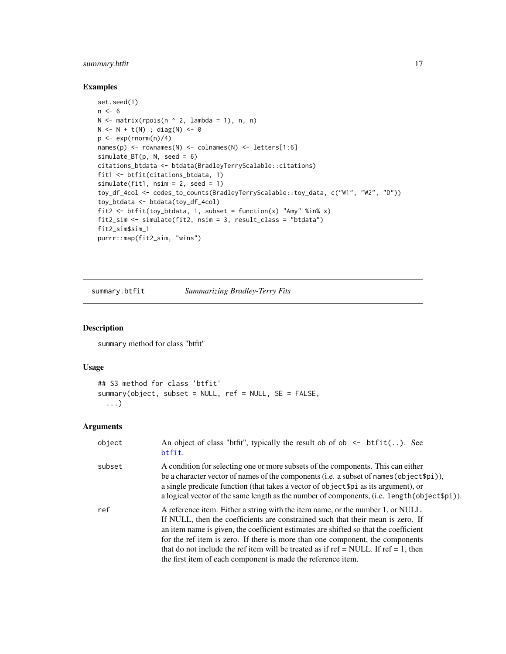## <span id="page-16-0"></span>summary.btfit 17

## Examples

```
set.seed(1)
n < -6N \leq matrix(rpois(n \land 2, lambda = 1), n, n)
N <- N + t(N) ; diag(N) <- 0
p \leftarrow \exp(rnorm(n)/4)names(p) <- rownames(N) <- colnames(N) <- letters[1:6]
simulate_BT(p, N, seed = 6)
citations_btdata <- btdata(BradleyTerryScalable::citations)
fit1 <- btfit(citations_btdata, 1)
simulate(fit1, nsim = 2, seed = 1)
toy_df_4col <- codes_to_counts(BradleyTerryScalable::toy_data, c("W1", "W2", "D"))
toy_btdata <- btdata(toy_df_4col)
fit2 <- btfit(toy_btdata, 1, subset = function(x) "Amy" %in% x)
fit2_sim <- simulate(fit2, nsim = 3, result_class = "btdata")
fit2_sim$sim_1
purrr::map(fit2_sim, "wins")
```
<span id="page-16-1"></span>summary.btfit *Summarizing Bradley-Terry Fits*

## Description

summary method for class "btfit"

## Usage

```
## S3 method for class 'btfit'
summary(object, subset = NULL, ref = NULL, SE = FALSE,
  ...)
```
## Arguments

| object | An object of class "btfit", typically the result ob of ob $\leq$ btfit(). See<br>btfit.                                                                                                                                                                                                                                                                                                                                                                                                                  |
|--------|----------------------------------------------------------------------------------------------------------------------------------------------------------------------------------------------------------------------------------------------------------------------------------------------------------------------------------------------------------------------------------------------------------------------------------------------------------------------------------------------------------|
| subset | A condition for selecting one or more subsets of the components. This can either<br>be a character vector of names of the components (i.e. a subset of names (object $\phi$ )),<br>a single predicate function (that takes a vector of object \$pi as its argument), or<br>a logical vector of the same length as the number of components, (i.e. length (object \$pi)).                                                                                                                                 |
| ref    | A reference item. Either a string with the item name, or the number 1, or NULL.<br>If NULL, then the coefficients are constrained such that their mean is zero. If<br>an item name is given, the coefficient estimates are shifted so that the coefficient<br>for the ref item is zero. If there is more than one component, the components<br>that do not include the ref item will be treated as if $ref = NULL$ . If $ref = 1$ , then<br>the first item of each component is made the reference item. |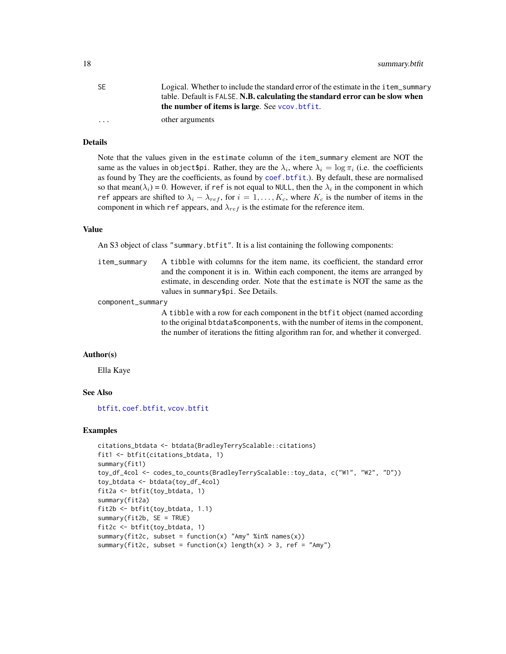<span id="page-17-0"></span>18 summary.btfit

| -SE                     | Logical. Whether to include the standard error of the estimate in the item_summary |
|-------------------------|------------------------------------------------------------------------------------|
|                         | table. Default is FALSE. N.B. calculating the standard error can be slow when      |
|                         | the number of items is large. See you, btfit.                                      |
| $\cdot$ $\cdot$ $\cdot$ | other arguments                                                                    |

## Details

Note that the values given in the estimate column of the item\_summary element are NOT the same as the values in object \$pi. Rather, they are the  $\lambda_i$ , where  $\lambda_i = \log \pi_i$  (i.e. the coefficients as found by They are the coefficients, as found by [coef.btfit](#page-10-1).). By default, these are normalised so that mean( $\lambda_i$ ) = 0. However, if ref is not equal to NULL, then the  $\lambda_i$  in the component in which ref appears are shifted to  $\lambda_i - \lambda_{ref}$ , for  $i = 1, ..., K_c$ , where  $K_c$  is the number of items in the component in which ref appears, and  $\lambda_{ref}$  is the estimate for the reference item.

#### Value

An S3 object of class "summary.btfit". It is a list containing the following components:

item\_summary A tibble with columns for the item name, its coefficient, the standard error and the component it is in. Within each component, the items are arranged by estimate, in descending order. Note that the estimate is NOT the same as the values in summary\$pi. See Details.

component\_summary

A tibble with a row for each component in the btfit object (named according to the original btdata\$components, with the number of items in the component, the number of iterations the fitting algorithm ran for, and whether it converged.

#### Author(s)

Ella Kaye

## See Also

[btfit](#page-3-1), [coef.btfit](#page-10-1), [vcov.btfit](#page-18-1)

#### Examples

```
citations_btdata <- btdata(BradleyTerryScalable::citations)
fit1 <- btfit(citations_btdata, 1)
summary(fit1)
toy_df_4col <- codes_to_counts(BradleyTerryScalable::toy_data, c("W1", "W2", "D"))
toy_btdata <- btdata(toy_df_4col)
fit2a <- btfit(toy_btdata, 1)
summary(fit2a)
fit2b <- btfit(toy_btdata, 1.1)
summary(fit2b, SE = TRUE)
fit2c <- btfit(toy_btdata, 1)
summary(fit2c, subset = function(x) "Amy" %in% names(x))
summary(fit2c, subset = function(x) length(x) > 3, ref = "Amy")
```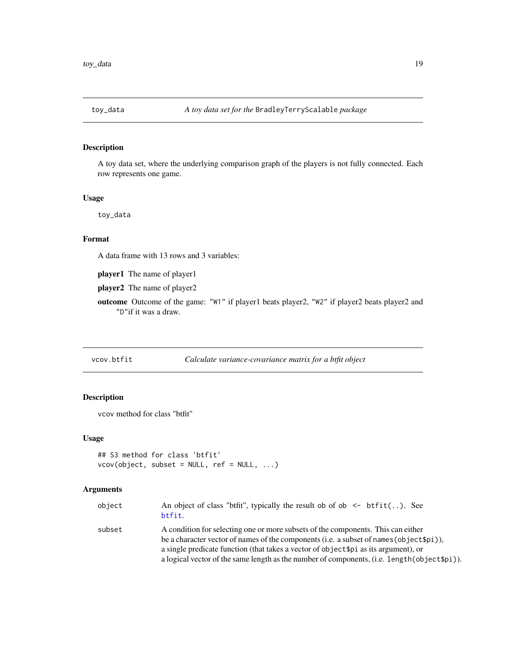<span id="page-18-0"></span>

## Description

A toy data set, where the underlying comparison graph of the players is not fully connected. Each row represents one game.

#### Usage

toy\_data

## Format

A data frame with 13 rows and 3 variables:

player1 The name of player1

player2 The name of player2

outcome Outcome of the game: "W1" if player1 beats player2, "W2" if player2 beats player2 and "D"if it was a draw.

<span id="page-18-1"></span>vcov.btfit *Calculate variance-covariance matrix for a btfit object*

## Description

vcov method for class "btfit"

#### Usage

```
## S3 method for class 'btfit'
vcov(object, subset = NULL, ref = NULL, ...)
```
## Arguments

| object | An object of class "btfit", typically the result ob of ob $\le$ btfit(). See<br>btfit.                                                                                           |
|--------|----------------------------------------------------------------------------------------------------------------------------------------------------------------------------------|
| subset | A condition for selecting one or more subsets of the components. This can either<br>be a character vector of names of the components (i.e. a subset of names (object $\phi$ i)), |
|        | a single predicate function (that takes a vector of object \$pi as its argument), or                                                                                             |
|        | a logical vector of the same length as the number of components, (i.e. length (object \$pi)).                                                                                    |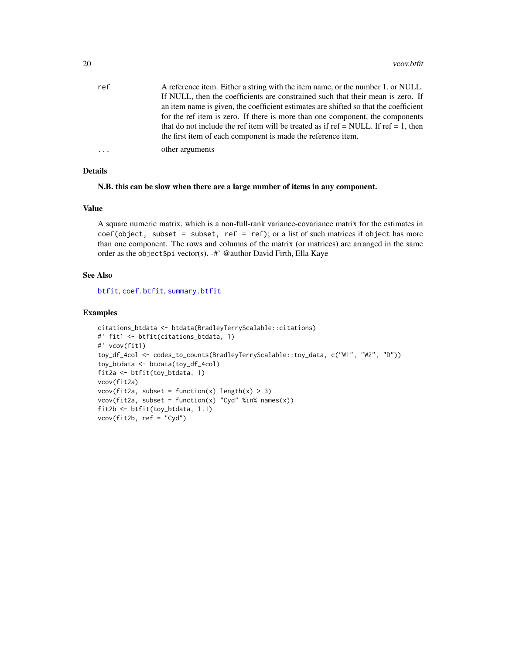<span id="page-19-0"></span>

| ref | A reference item. Either a string with the item name, or the number 1, or NULL.      |
|-----|--------------------------------------------------------------------------------------|
|     | If NULL, then the coefficients are constrained such that their mean is zero. If      |
|     | an item name is given, the coefficient estimates are shifted so that the coefficient |
|     | for the ref item is zero. If there is more than one component, the components        |
|     | that do not include the ref item will be treated as if ref = NULL. If ref = 1, then  |
|     | the first item of each component is made the reference item.                         |
| .   | other arguments                                                                      |

## Details

N.B. this can be slow when there are a large number of items in any component.

## Value

A square numeric matrix, which is a non-full-rank variance-covariance matrix for the estimates in  $\text{coef}(\text{object}, \text{subset} = \text{subset}, \text{ref} = \text{ref}); \text{or a list of such matrices if object has more}$ than one component. The rows and columns of the matrix (or matrices) are arranged in the same order as the object\$pi vector(s). -#' @author David Firth, Ella Kaye

## See Also

[btfit](#page-3-1), [coef.btfit](#page-10-1), [summary.btfit](#page-16-1)

## Examples

```
citations_btdata <- btdata(BradleyTerryScalable::citations)
#' fit1 <- btfit(citations_btdata, 1)
#' vcov(fit1)
toy_df_4col <- codes_to_counts(BradleyTerryScalable::toy_data, c("W1", "W2", "D"))
toy_btdata <- btdata(toy_df_4col)
fit2a <- btfit(toy_btdata, 1)
vcov(fit2a)
vcov(fit2a, subset = function(x) length(x) > 3)vcov(fit2a, subset = function(x) "Cyd" %in% names(x))
fit2b <- btfit(toy_btdata, 1.1)
vcov(fit2b, ref = "Cyd")
```